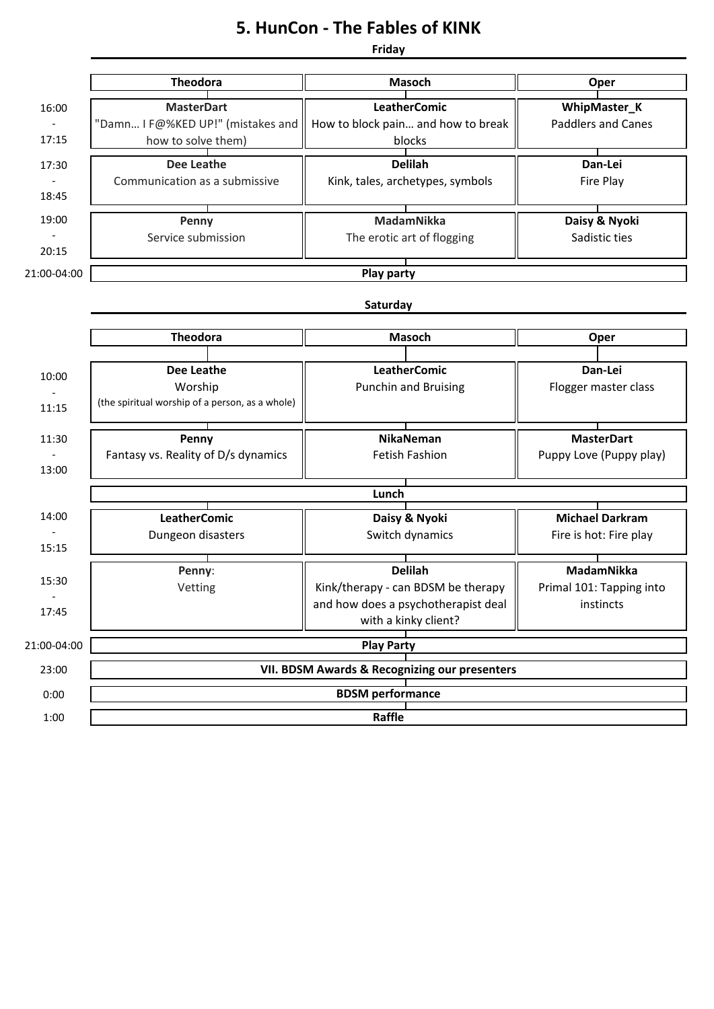## **5. HunCon - The Fables of KINK**

**Friday**

|             | <b>Theodora</b>                                 | <b>Masoch</b>                       | Oper                      |  |
|-------------|-------------------------------------------------|-------------------------------------|---------------------------|--|
| 16:00       | <b>MasterDart</b>                               | <b>LeatherComic</b>                 | WhipMaster_K              |  |
|             | "Damn I F@%KED UP!" (mistakes and               | How to block pain and how to break  | <b>Paddlers and Canes</b> |  |
| 17:15       | how to solve them)                              | blocks                              |                           |  |
| 17:30       | <b>Dee Leathe</b>                               | <b>Delilah</b>                      | Dan-Lei                   |  |
|             | Communication as a submissive                   | Kink, tales, archetypes, symbols    | Fire Play                 |  |
| 18:45       |                                                 |                                     |                           |  |
| 19:00       | Penny                                           | MadamNikka                          | Daisy & Nyoki             |  |
|             | Service submission                              | The erotic art of flogging          | Sadistic ties             |  |
| 20:15       |                                                 |                                     |                           |  |
| 21:00-04:00 | <b>Play party</b>                               |                                     |                           |  |
|             | Saturday                                        |                                     |                           |  |
|             |                                                 |                                     |                           |  |
|             | <b>Theodora</b>                                 | <b>Masoch</b>                       | Oper                      |  |
|             | <b>Dee Leathe</b>                               | <b>LeatherComic</b>                 | Dan-Lei                   |  |
| 10:00       | Worship                                         | <b>Punchin and Bruising</b>         | Flogger master class      |  |
| 11:15       | (the spiritual worship of a person, as a whole) |                                     |                           |  |
|             |                                                 |                                     |                           |  |
| 11:30       | Penny                                           | <b>NikaNeman</b>                    | <b>MasterDart</b>         |  |
|             | Fantasy vs. Reality of D/s dynamics             | Fetish Fashion                      | Puppy Love (Puppy play)   |  |
| 13:00       |                                                 |                                     |                           |  |
|             | Lunch                                           |                                     |                           |  |
| 14:00       | <b>LeatherComic</b>                             | Daisy & Nyoki                       | <b>Michael Darkram</b>    |  |
|             | Dungeon disasters                               | Switch dynamics                     | Fire is hot: Fire play    |  |
| 15:15       |                                                 |                                     |                           |  |
|             | Penny:                                          | <b>Delilah</b>                      | <b>MadamNikka</b>         |  |
| 15:30       | Vetting                                         | Kink/therapy - can BDSM be therapy  | Primal 101: Tapping into  |  |
| 17:45       |                                                 | and how does a psychotherapist deal | instincts                 |  |
|             |                                                 | with a kinky client?                |                           |  |
| 21:00-04:00 | <b>Play Party</b>                               |                                     |                           |  |
| 23:00       | VII. BDSM Awards & Recognizing our presenters   |                                     |                           |  |
| 0:00        | <b>BDSM</b> performance                         |                                     |                           |  |
|             |                                                 |                                     |                           |  |
| 1:00        | Raffle                                          |                                     |                           |  |